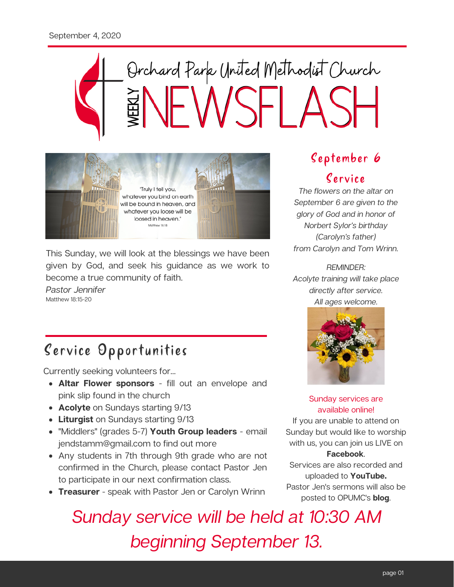# Orchard Park United Methodist Church



This Sunday, we will look at the blessings we have been given by God, and seek his guidance as we work to become a true community of faith.

Pastor Jennifer Matthew 18:15-20

# Service Opportunities

Currently seeking volunteers for...

- **Altar Flower sponsors** fill out an envelope and pink slip found in the church
- **Acolyte** on Sundays starting 9/13
- **Liturgist** on Sundays starting 9/13
- "Middlers" (grades 5-7) **Youth Group leaders** email jendstamm@gmail.com to find out more
- Any students in 7th through 9th grade who are not confirmed in the Church, please contact Pastor Jen to participate in our next confirmation class.
- **Treasurer** speak with Pastor Jen or Carolyn Wrinn

# September 6

# Cervice

The flowers on the altar on September 6 are given to the glory of God and in honor of Norbert Sylor's birthday (Carolyn's father) from Carolyn and Tom Wrinn.

### REMINDER:

Acolyte training will take place directly after service. All ages welcome.



## Sunday services are available online!

If you are unable to attend on Sunday but would like to worship with us, you can join us LIVE on

## **Facebook**.

Services are also recorded and uploaded to **YouTube.** Pastor Jen's sermons will also be posted to OPUMC's **blog**.

Sunday service will be held at 10:30 AM beginning September 13.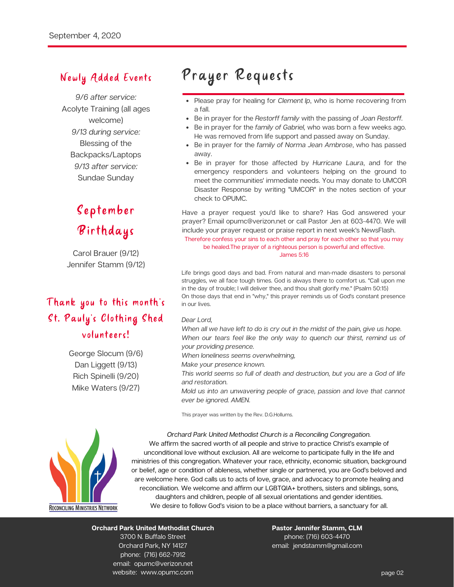## Newly Added Events

9/6 after service: Acolyte Training (all ages welcome) 9/13 during service: Blessing of the Backpacks/Laptops 9/13 after service: Sundae Sunday

# September Birthdays

Carol Brauer (9/12) Jennifer Stamm (9/12)

# Thank you to this month's St. Pauly's Clothing Shed volunteers!

George Slocum (9/6) Dan Liggett (9/13) Rich Spinelli (9/20) Mike Waters (9/27)

# Prayer Requests

- Please pray for healing for Clement Ip, who is home recovering from a fall.
- Be in prayer for the Restorff family with the passing of Joan Restorff.
- Be in prayer for the family of Gabriel, who was born a few weeks ago. He was removed from life support and passed away on Sunday.
- Be in prayer for the family of Norma Jean Ambrose, who has passed away.
- Be in prayer for those affected by Hurricane Laura, and for the emergency responders and volunteers helping on the ground to meet the communities' immediate needs. You may donate to UMCOR Disaster Response by writing "UMCOR" in the notes section of your check to OPUMC.

Have a prayer request you'd like to share? Has God answered your prayer? Email opumc@verizon.net or call Pastor Jen at 603-4470. We will include your prayer request or praise report in next week's NewsFlash.

Therefore confess your sins to each other and pray for each other so that you may be healed.The prayer of a righteous person is powerful and effective. James 5:16

Life brings good days and bad. From natural and man-made disasters to personal struggles, we all face tough times. God is always there to comfort us. "Call upon me in the day of trouble; I will deliver thee, and thou shalt glorify me." (Psalm 50:15) On those days that end in "why," this prayer reminds us of God's constant presence in our lives.

#### Dear Lord,

When all we have left to do is cry out in the midst of the pain, give us hope. When our tears feel like the only way to quench our thirst, remind us of your providing presence.

- When loneliness seems overwhelming,
- Make your presence known.
- This world seems so full of death and destruction, but you are a God of life and restoration.
- Mold us into an unwavering people of grace, passion and love that cannot ever be ignored. AMEN.

This prayer was written by the Rev. D.G.Hollums.



Orchard Park United Methodist Church is a Reconciling Congregation. We affirm the sacred worth of all people and strive to practice Christ's example of unconditional love without exclusion. All are welcome to participate fully in the life and ministries of this congregation. Whatever your race, ethnicity, economic situation, background or belief, age or condition of ableness, whether single or partnered, you are God's beloved and are welcome here. God calls us to acts of love, grace, and advocacy to promote healing and reconciliation. We welcome and affirm our LGBTQIA+ brothers, sisters and siblings, sons, daughters and children, people of all sexual orientations and gender identities. We desire to follow God's vision to be a place without barriers, a sanctuary for all.

#### **Orchard Park United Methodist Church** 3700 N. Buffalo Street Orchard Park, NY 14127 phone: (716) 662-7912 email: opumc@verizon.net

website: www.opumc.com

#### **Pastor Jennifer Stamm, CLM** phone: (716) 603-4470 email: jendstamm@gmail.com